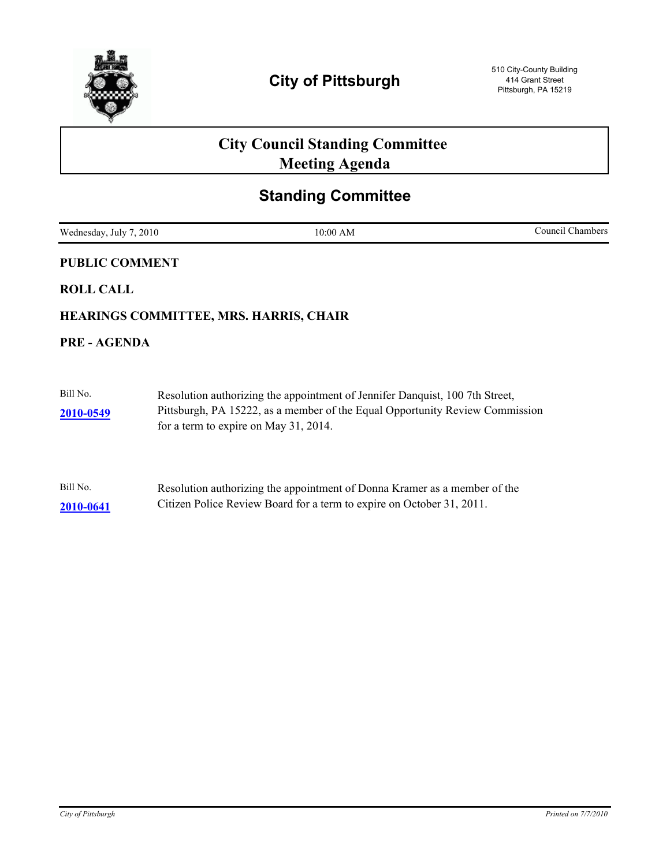

# **City Council Standing Committee Meeting Agenda**

# **Standing Committee**

| 10:00 AM                                                                     | Council Chambers                                                                                                                                                                                                                                                                                                                                                          |
|------------------------------------------------------------------------------|---------------------------------------------------------------------------------------------------------------------------------------------------------------------------------------------------------------------------------------------------------------------------------------------------------------------------------------------------------------------------|
|                                                                              |                                                                                                                                                                                                                                                                                                                                                                           |
|                                                                              |                                                                                                                                                                                                                                                                                                                                                                           |
|                                                                              |                                                                                                                                                                                                                                                                                                                                                                           |
|                                                                              |                                                                                                                                                                                                                                                                                                                                                                           |
|                                                                              |                                                                                                                                                                                                                                                                                                                                                                           |
|                                                                              |                                                                                                                                                                                                                                                                                                                                                                           |
| Pittsburgh, PA 15222, as a member of the Equal Opportunity Review Commission |                                                                                                                                                                                                                                                                                                                                                                           |
|                                                                              |                                                                                                                                                                                                                                                                                                                                                                           |
|                                                                              |                                                                                                                                                                                                                                                                                                                                                                           |
|                                                                              |                                                                                                                                                                                                                                                                                                                                                                           |
|                                                                              | Wednesday, July 7, 2010<br><b>PUBLIC COMMENT</b><br>HEARINGS COMMITTEE, MRS. HARRIS, CHAIR<br>Resolution authorizing the appointment of Jennifer Danquist, 100 7th Street,<br>for a term to expire on May 31, 2014.<br>Resolution authorizing the appointment of Donna Kramer as a member of the<br>Citizen Police Review Board for a term to expire on October 31, 2011. |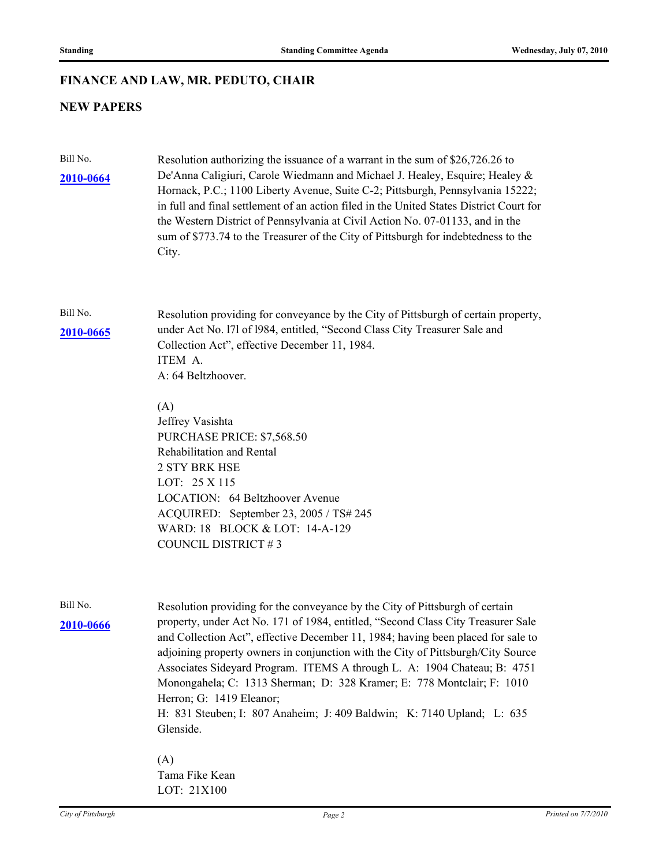#### **FINANCE AND LAW, MR. PEDUTO, CHAIR**

## **NEW PAPERS**

| Bill No.<br>2010-0664 | Resolution authorizing the issuance of a warrant in the sum of \$26,726.26 to<br>De'Anna Caligiuri, Carole Wiedmann and Michael J. Healey, Esquire; Healey &<br>Hornack, P.C.; 1100 Liberty Avenue, Suite C-2; Pittsburgh, Pennsylvania 15222;<br>in full and final settlement of an action filed in the United States District Court for<br>the Western District of Pennsylvania at Civil Action No. 07-01133, and in the<br>sum of \$773.74 to the Treasurer of the City of Pittsburgh for indebtedness to the<br>City. |
|-----------------------|---------------------------------------------------------------------------------------------------------------------------------------------------------------------------------------------------------------------------------------------------------------------------------------------------------------------------------------------------------------------------------------------------------------------------------------------------------------------------------------------------------------------------|
| Bill No.              | Resolution providing for conveyance by the City of Pittsburgh of certain property,                                                                                                                                                                                                                                                                                                                                                                                                                                        |
| 2010-0665             | under Act No. 171 of 1984, entitled, "Second Class City Treasurer Sale and                                                                                                                                                                                                                                                                                                                                                                                                                                                |
|                       | Collection Act", effective December 11, 1984.                                                                                                                                                                                                                                                                                                                                                                                                                                                                             |
|                       | ITEM A.                                                                                                                                                                                                                                                                                                                                                                                                                                                                                                                   |
|                       | A: 64 Beltzhoover.                                                                                                                                                                                                                                                                                                                                                                                                                                                                                                        |
|                       | (A)                                                                                                                                                                                                                                                                                                                                                                                                                                                                                                                       |
|                       | Jeffrey Vasishta                                                                                                                                                                                                                                                                                                                                                                                                                                                                                                          |
|                       | PURCHASE PRICE: \$7,568.50                                                                                                                                                                                                                                                                                                                                                                                                                                                                                                |
|                       | Rehabilitation and Rental                                                                                                                                                                                                                                                                                                                                                                                                                                                                                                 |
|                       | 2 STY BRK HSE                                                                                                                                                                                                                                                                                                                                                                                                                                                                                                             |
|                       | LOT: $25 X 115$                                                                                                                                                                                                                                                                                                                                                                                                                                                                                                           |
|                       | <b>LOCATION: 64 Beltzhoover Avenue</b>                                                                                                                                                                                                                                                                                                                                                                                                                                                                                    |
|                       | ACQUIRED: September 23, 2005 / TS# 245                                                                                                                                                                                                                                                                                                                                                                                                                                                                                    |
|                       | WARD: 18 BLOCK & LOT: 14-A-129                                                                                                                                                                                                                                                                                                                                                                                                                                                                                            |
|                       | <b>COUNCIL DISTRICT #3</b>                                                                                                                                                                                                                                                                                                                                                                                                                                                                                                |
|                       |                                                                                                                                                                                                                                                                                                                                                                                                                                                                                                                           |
|                       |                                                                                                                                                                                                                                                                                                                                                                                                                                                                                                                           |

**[2010-0666](http://pittsburgh.legistar.com/gateway.aspx?M=L&ID=13230)**

Bill No. Resolution providing for the conveyance by the City of Pittsburgh of certain property, under Act No. 171 of 1984, entitled, "Second Class City Treasurer Sale and Collection Act", effective December 11, 1984; having been placed for sale to adjoining property owners in conjunction with the City of Pittsburgh/City Source Associates Sideyard Program. ITEMS A through L. A: 1904 Chateau; B: 4751 Monongahela; C: 1313 Sherman; D: 328 Kramer; E: 778 Montclair; F: 1010 Herron; G: 1419 Eleanor; H: 831 Steuben; I: 807 Anaheim; J: 409 Baldwin; K: 7140 Upland; L: 635 Glenside.

> (A) Tama Fike Kean LOT: 21X100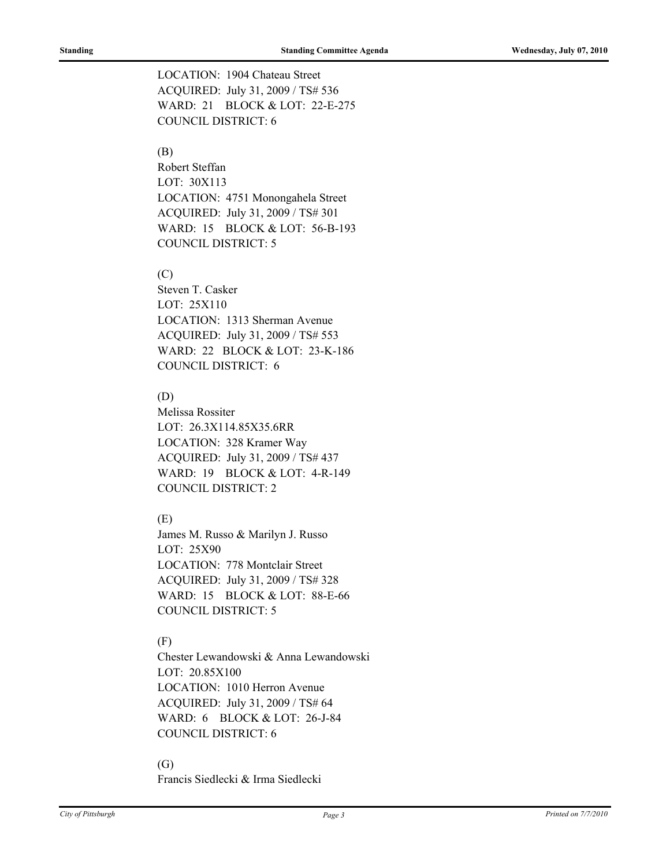LOCATION: 1904 Chateau Street ACQUIRED: July 31, 2009 / TS# 536 WARD: 21 BLOCK & LOT: 22-E-275 COUNCIL DISTRICT: 6

# (B)

Robert Steffan LOT: 30X113 LOCATION: 4751 Monongahela Street ACQUIRED: July 31, 2009 / TS# 301 WARD: 15 BLOCK & LOT: 56-B-193 COUNCIL DISTRICT: 5

#### $(C)$

Steven T. Casker LOT: 25X110 LOCATION: 1313 Sherman Avenue ACQUIRED: July 31, 2009 / TS# 553 WARD: 22 BLOCK & LOT: 23-K-186 COUNCIL DISTRICT: 6

# (D)

Melissa Rossiter LOT: 26.3X114.85X35.6RR LOCATION: 328 Kramer Way ACQUIRED: July 31, 2009 / TS# 437 WARD: 19 BLOCK & LOT: 4-R-149 COUNCIL DISTRICT: 2

# (E)

James M. Russo & Marilyn J. Russo LOT: 25X90 LOCATION: 778 Montclair Street ACQUIRED: July 31, 2009 / TS# 328 WARD: 15 BLOCK & LOT: 88-E-66 COUNCIL DISTRICT: 5

#### (F)

Chester Lewandowski & Anna Lewandowski LOT: 20.85X100 LOCATION: 1010 Herron Avenue ACQUIRED: July 31, 2009 / TS# 64 WARD: 6 BLOCK & LOT: 26-J-84 COUNCIL DISTRICT: 6

#### $(G)$

Francis Siedlecki & Irma Siedlecki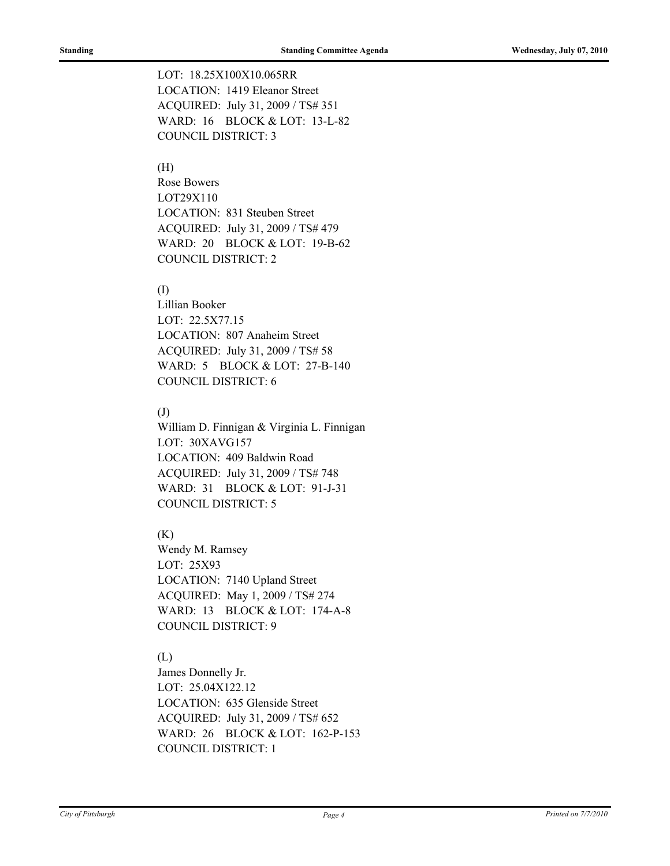LOT: 18.25X100X10.065RR LOCATION: 1419 Eleanor Street ACQUIRED: July 31, 2009 / TS# 351 WARD: 16 BLOCK & LOT: 13-L-82 COUNCIL DISTRICT: 3

#### (H)

Rose Bowers LOT29X110 LOCATION: 831 Steuben Street ACQUIRED: July 31, 2009 / TS# 479 WARD: 20 BLOCK & LOT: 19-B-62 COUNCIL DISTRICT: 2

#### (I)

Lillian Booker LOT: 22.5X77.15 LOCATION: 807 Anaheim Street ACQUIRED: July 31, 2009 / TS# 58 WARD: 5 BLOCK & LOT: 27-B-140 COUNCIL DISTRICT: 6

# (J)

William D. Finnigan & Virginia L. Finnigan LOT: 30XAVG157 LOCATION: 409 Baldwin Road ACQUIRED: July 31, 2009 / TS# 748 WARD: 31 BLOCK & LOT: 91-J-31 COUNCIL DISTRICT: 5

# $(K)$

Wendy M. Ramsey LOT: 25X93 LOCATION: 7140 Upland Street ACQUIRED: May 1, 2009 / TS# 274 WARD: 13 BLOCK & LOT: 174-A-8 COUNCIL DISTRICT: 9

# (L)

James Donnelly Jr. LOT: 25.04X122.12 LOCATION: 635 Glenside Street ACQUIRED: July 31, 2009 / TS# 652 WARD: 26 BLOCK & LOT: 162-P-153 COUNCIL DISTRICT: 1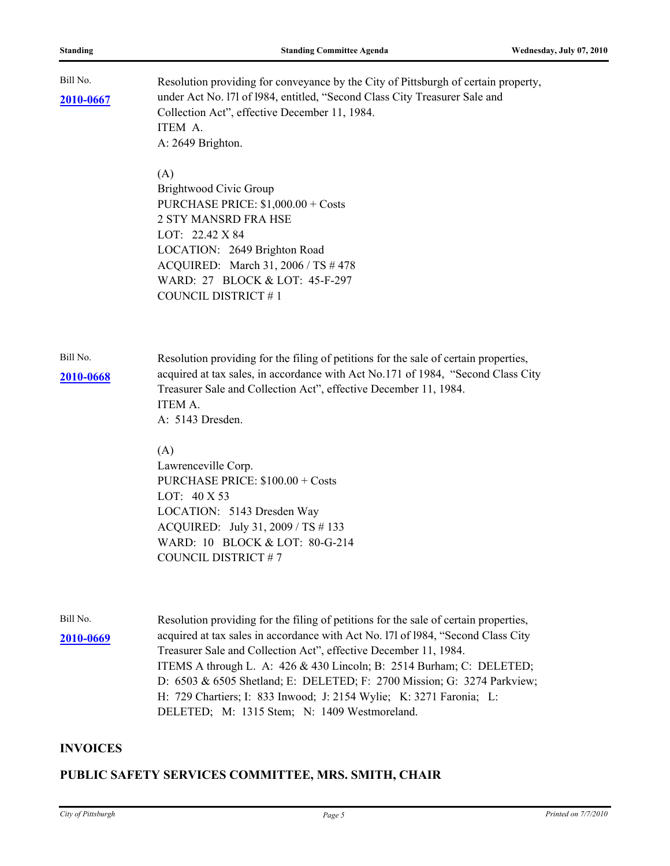| Bill No.<br>2010-0667        | Resolution providing for conveyance by the City of Pittsburgh of certain property,<br>under Act No. 171 of 1984, entitled, "Second Class City Treasurer Sale and<br>Collection Act", effective December 11, 1984.<br>ITEM A.<br>A: 2649 Brighton.<br>(A)<br>Brightwood Civic Group<br>PURCHASE PRICE: \$1,000.00 + Costs<br>2 STY MANSRD FRA HSE<br>LOT: 22.42 X 84<br>LOCATION: 2649 Brighton Road<br>ACQUIRED: March 31, 2006 / TS # 478<br>WARD: 27 BLOCK & LOT: 45-F-297<br>COUNCIL DISTRICT #1                    |
|------------------------------|------------------------------------------------------------------------------------------------------------------------------------------------------------------------------------------------------------------------------------------------------------------------------------------------------------------------------------------------------------------------------------------------------------------------------------------------------------------------------------------------------------------------|
| Bill No.<br><u>2010-0668</u> | Resolution providing for the filing of petitions for the sale of certain properties,<br>acquired at tax sales, in accordance with Act No.171 of 1984, "Second Class City<br>Treasurer Sale and Collection Act", effective December 11, 1984.<br><b>ITEM A.</b><br>A: 5143 Dresden.                                                                                                                                                                                                                                     |
|                              | (A)<br>Lawrenceville Corp.<br>PURCHASE PRICE: \$100.00 + Costs<br>LOT: $40 X 53$<br>LOCATION: 5143 Dresden Way<br>ACQUIRED: July 31, 2009 / TS # 133<br>WARD: 10 BLOCK & LOT: 80-G-214<br>COUNCIL DISTRICT #7                                                                                                                                                                                                                                                                                                          |
| Bill No.<br>2010-0669        | Resolution providing for the filing of petitions for the sale of certain properties,<br>acquired at tax sales in accordance with Act No. 171 of 1984, "Second Class City<br>Treasurer Sale and Collection Act", effective December 11, 1984.<br>ITEMS A through L. A: 426 & 430 Lincoln; B: 2514 Burham; C: DELETED;<br>D: 6503 & 6505 Shetland; E: DELETED; F: 2700 Mission; G: 3274 Parkview;<br>H: 729 Chartiers; I: 833 Inwood; J: 2154 Wylie; K: 3271 Faronia; L:<br>DELETED; M: 1315 Stem; N: 1409 Westmoreland. |

# **INVOICES**

# **PUBLIC SAFETY SERVICES COMMITTEE, MRS. SMITH, CHAIR**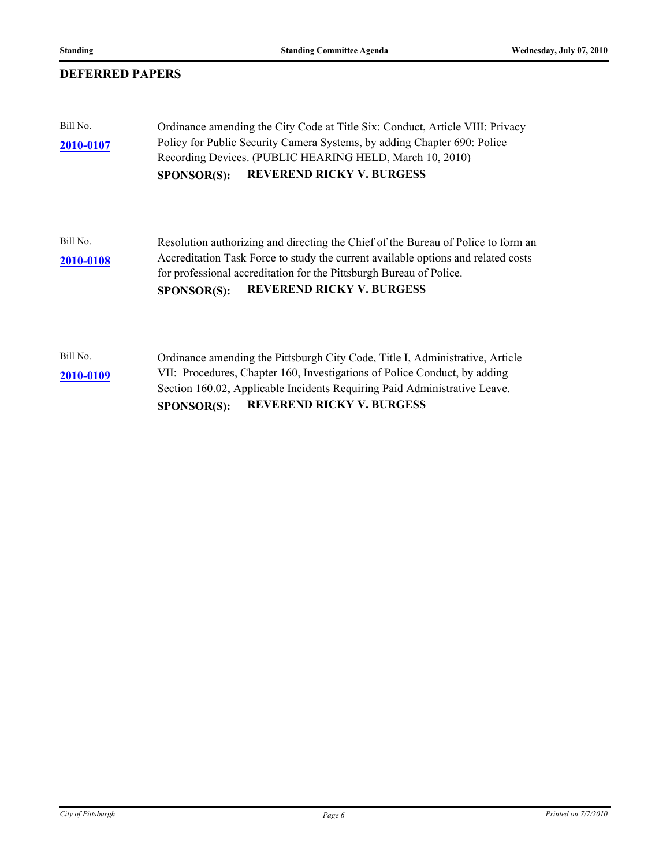# **DEFERRED PAPERS**

| Bill No.<br>2010-0107 | Ordinance amending the City Code at Title Six: Conduct, Article VIII: Privacy<br>Policy for Public Security Camera Systems, by adding Chapter 690: Police<br>Recording Devices. (PUBLIC HEARING HELD, March 10, 2010)<br><b>REVEREND RICKY V. BURGESS</b><br><b>SPONSOR(S):</b>                         |
|-----------------------|---------------------------------------------------------------------------------------------------------------------------------------------------------------------------------------------------------------------------------------------------------------------------------------------------------|
| Bill No.<br>2010-0108 | Resolution authorizing and directing the Chief of the Bureau of Police to form an<br>Accreditation Task Force to study the current available options and related costs<br>for professional accreditation for the Pittsburgh Bureau of Police.<br><b>REVEREND RICKY V. BURGESS</b><br><b>SPONSOR(S):</b> |
| Bill No.<br>2010-0109 | Ordinance amending the Pittsburgh City Code, Title I, Administrative, Article<br>VII: Procedures, Chapter 160, Investigations of Police Conduct, by adding<br>Section 160.02, Applicable Incidents Requiring Paid Administrative Leave.<br><b>REVEREND RICKY V. BURGESS</b><br><b>SPONSOR(S):</b>       |